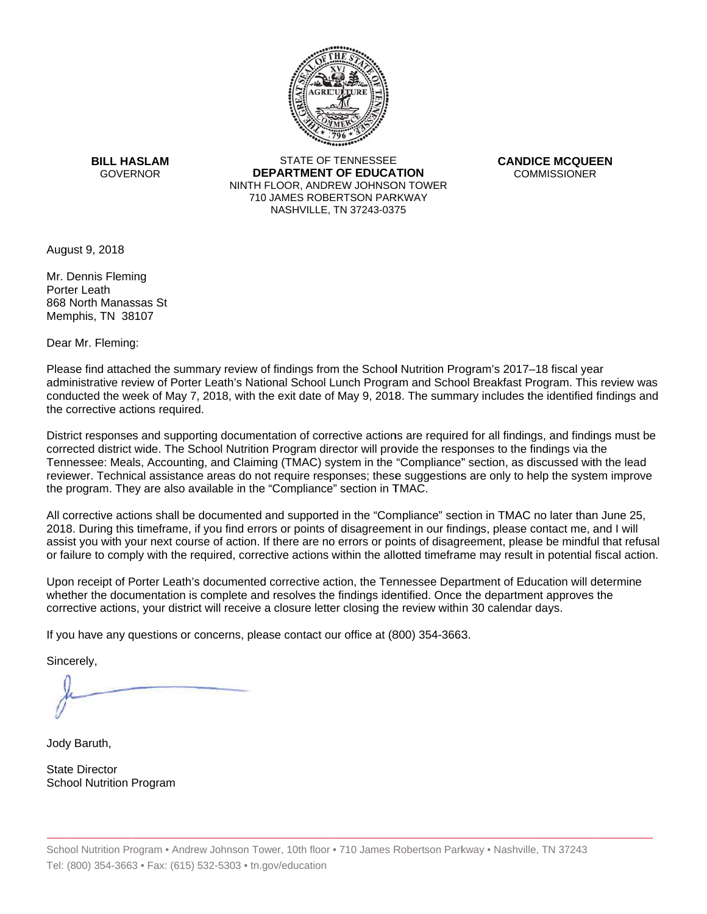

**BILL HASLAM** GOVERNOR **DEI** 

STATE OF TENNESSEE **EPARTMENT OF EDUCATION** NINTH FLOOR, ANDREW JOHNSON TOWER 710 JAMES ROBERTSON PARKWAY NASHVILLE,TN 37243-0375

**CANDICE MCQUEEN** CO OMMISSIONER

August 9, 2018

Mr. Dennis Fleming Porter Leath 868 North Manassas St Memphis, TN 38107

Dear Mr. Fleming:

Please find attached the summary review of findings from the School Nutrition Program's 2017–18 fiscal year administrative review of Porter Leath's National School Lunch Program and School Breakfast Program. This review was conducted the week of May 7, 2018, with the exit date of May 9, 2018. The summ ary includes the identified findings and the corrective actions required.

Tennessee: Meals, Accounting, and Claiming (TMAC) system in the "Compliance" section, as discussed with the lead District responses and supporting documentation of corrective actions are required for all findings, and findings must be corrected district wide. The School Nutrition Program director will provide the responses to the findings via the reviewer. Technical assistance areas do not require responses; these suggestions are only to help the system improve the program. They are also available in the "Compliance" section in TMAC.

All corrective actions shall be documented and supported in the "Compliance" section in TMAC no later than June 25, 2018. During this timeframe, if you find errors or points of disagreement in our findings, please contact me, and I will assist you with your next course of action. If there are no errors or points of disagreement, please be mindful that refusal or failure to comply with the required, corrective actions within the allotted timeframe may result in potential fiscal action.

Upon receipt of Porter Leath's documented corrective action, the Tennessee Department of Education will determine whether the documentation is complete and resolves the findings identified. Once the department approves the corrective actions, your district will receive a closure letter closing the review within 30 calendar days.

If you have any questions or concerns, please contact our office at (800) 354-3663.

Sincerely,

Jody Baruth,

State Director School Nutrition Program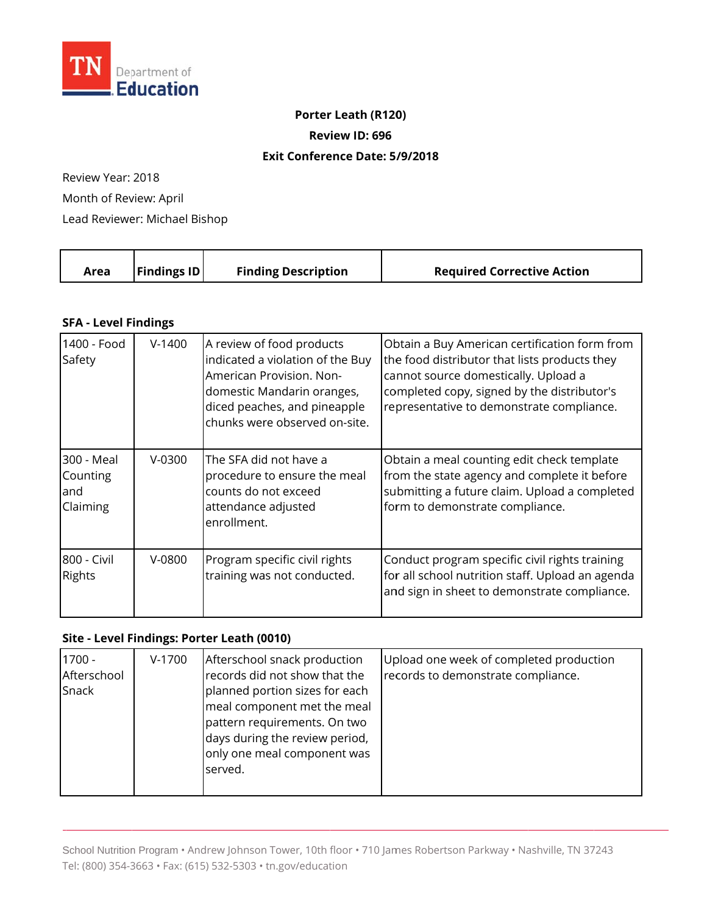

## **Porter Leath (R120)**

**Review ID: 696**

## **Exit Conference Date: 5 /9/2018**

Review Year: 2018 Month of Review: April Lead Reviewer: Michael Bishop

| <b>Findings ID</b><br><b>Finding Description</b><br><b>Required Corrective Action</b><br>Area |
|-----------------------------------------------------------------------------------------------|
|-----------------------------------------------------------------------------------------------|

## **SFA - Level Findings**

| 1400 - Food<br>Safety                      | $V-1400$ | A review of food products<br>indicated a violation of the Buy<br>American Provision. Non-<br>domestic Mandarin oranges,<br>diced peaches, and pineapple<br>chunks were observed on-site. | Obtain a Buy American certification form from<br>the food distributor that lists products they<br>cannot source domestically. Upload a<br>completed copy, signed by the distributor's<br>representative to demonstrate compliance. |
|--------------------------------------------|----------|------------------------------------------------------------------------------------------------------------------------------------------------------------------------------------------|------------------------------------------------------------------------------------------------------------------------------------------------------------------------------------------------------------------------------------|
| 300 - Meal<br>Counting<br>land<br>Claiming | $V-0300$ | The SFA did not have a<br>procedure to ensure the meal<br>counts do not exceed<br>attendance adjusted<br>enrollment.                                                                     | Obtain a meal counting edit check template<br>from the state agency and complete it before<br>submitting a future claim. Upload a completed<br>form to demonstrate compliance.                                                     |
| 800 - Civil<br><b>Rights</b>               | $V-0800$ | Program specific civil rights<br>training was not conducted.                                                                                                                             | Conduct program specific civil rights training<br>for all school nutrition staff. Upload an agenda<br>and sign in sheet to demonstrate compliance.                                                                                 |

## **Site - Level Findings: Porter Leath (0010)**

| $1700 -$<br>Afterschool<br>Snack | $V-1700$ | Afterschool snack production<br>records did not show that the<br>planned portion sizes for each<br>meal component met the meal<br>pattern requirements. On two<br>days during the review period,<br>only one meal component was<br>served. | Upload one week of completed production<br>records to demonstrate compliance. |
|----------------------------------|----------|--------------------------------------------------------------------------------------------------------------------------------------------------------------------------------------------------------------------------------------------|-------------------------------------------------------------------------------|
|----------------------------------|----------|--------------------------------------------------------------------------------------------------------------------------------------------------------------------------------------------------------------------------------------------|-------------------------------------------------------------------------------|